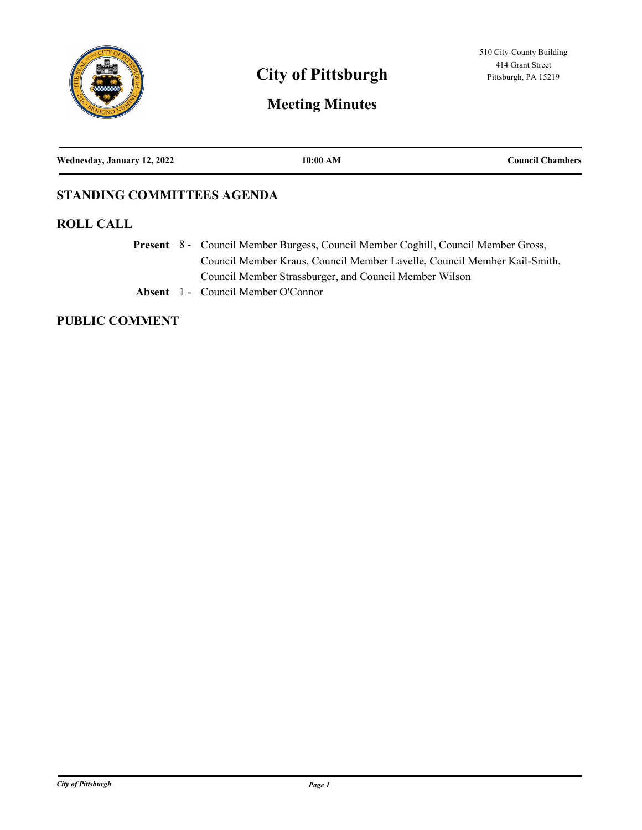

# **City of Pittsburgh** Pittsburgh, PA 15219

# **Meeting Minutes**

| Wednesday, January 12, 2022 | 10:00 AM | <b>Council Chambers</b> |
|-----------------------------|----------|-------------------------|
|                             |          |                         |

## **STANDING COMMITTEES AGENDA**

#### **ROLL CALL**

Present 8 - Council Member Burgess, Council Member Coghill, Council Member Gross, Council Member Kraus, Council Member Lavelle, Council Member Kail-Smith, Council Member Strassburger, and Council Member Wilson

**Absent** 1 - Council Member O'Connor

## **PUBLIC COMMENT**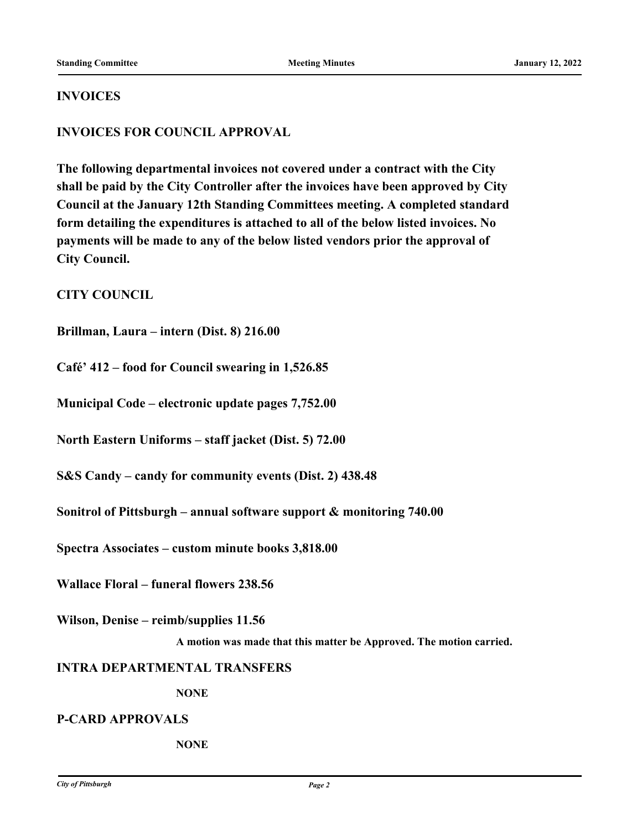#### **INVOICES**

#### **INVOICES FOR COUNCIL APPROVAL**

**The following departmental invoices not covered under a contract with the City shall be paid by the City Controller after the invoices have been approved by City Council at the January 12th Standing Committees meeting. A completed standard form detailing the expenditures is attached to all of the below listed invoices. No payments will be made to any of the below listed vendors prior the approval of City Council.**

**CITY COUNCIL**

**Brillman, Laura – intern (Dist. 8) 216.00**

**Café' 412 – food for Council swearing in 1,526.85**

**Municipal Code – electronic update pages 7,752.00**

**North Eastern Uniforms – staff jacket (Dist. 5) 72.00**

**S&S Candy – candy for community events (Dist. 2) 438.48**

**Sonitrol of Pittsburgh – annual software support & monitoring 740.00**

**Spectra Associates – custom minute books 3,818.00**

**Wallace Floral – funeral flowers 238.56**

**Wilson, Denise – reimb/supplies 11.56**

**A motion was made that this matter be Approved. The motion carried.**

#### **INTRA DEPARTMENTAL TRANSFERS**

**NONE**

#### **P-CARD APPROVALS**

**NONE**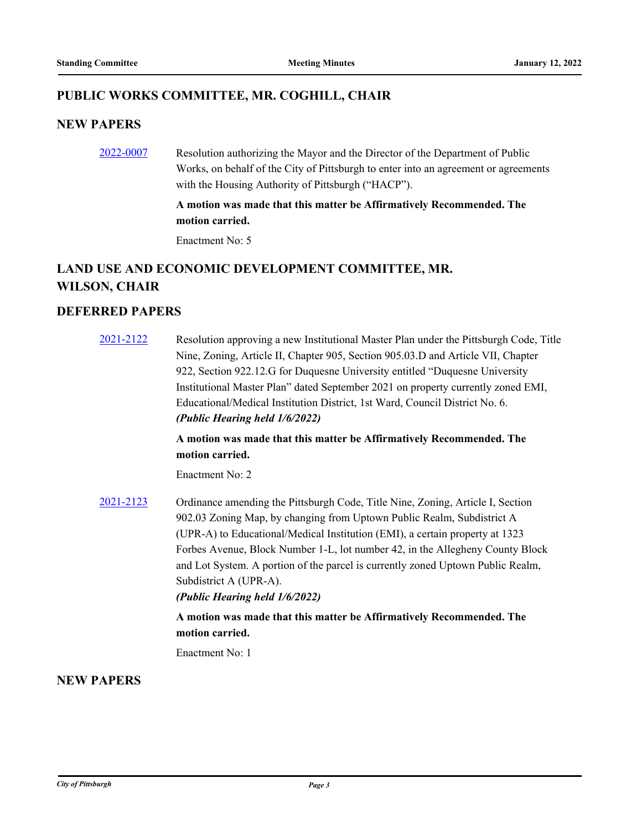#### **PUBLIC WORKS COMMITTEE, MR. COGHILL, CHAIR**

#### **NEW PAPERS**

[2022-0007](http://pittsburgh.legistar.com/gateway.aspx?m=l&id=/matter.aspx?key=27297) Resolution authorizing the Mayor and the Director of the Department of Public Works, on behalf of the City of Pittsburgh to enter into an agreement or agreements with the Housing Authority of Pittsburgh ("HACP").

#### **A motion was made that this matter be Affirmatively Recommended. The motion carried.**

Enactment No: 5

# **LAND USE AND ECONOMIC DEVELOPMENT COMMITTEE, MR. WILSON, CHAIR**

## **DEFERRED PAPERS**

[2021-2122](http://pittsburgh.legistar.com/gateway.aspx?m=l&id=/matter.aspx?key=27011) Resolution approving a new Institutional Master Plan under the Pittsburgh Code, Title Nine, Zoning, Article II, Chapter 905, Section 905.03.D and Article VII, Chapter 922, Section 922.12.G for Duquesne University entitled "Duquesne University Institutional Master Plan" dated September 2021 on property currently zoned EMI, Educational/Medical Institution District, 1st Ward, Council District No. 6. *(Public Hearing held 1/6/2022)* **A motion was made that this matter be Affirmatively Recommended. The motion carried.** Enactment No: 2 [2021-2123](http://pittsburgh.legistar.com/gateway.aspx?m=l&id=/matter.aspx?key=27012) Ordinance amending the Pittsburgh Code, Title Nine, Zoning, Article I, Section 902.03 Zoning Map, by changing from Uptown Public Realm, Subdistrict A (UPR-A) to Educational/Medical Institution (EMI), a certain property at 1323 Forbes Avenue, Block Number 1-L, lot number 42, in the Allegheny County Block and Lot System. A portion of the parcel is currently zoned Uptown Public Realm, Subdistrict A (UPR-A). *(Public Hearing held 1/6/2022)* **A motion was made that this matter be Affirmatively Recommended. The motion carried.**

Enactment No: 1

#### **NEW PAPERS**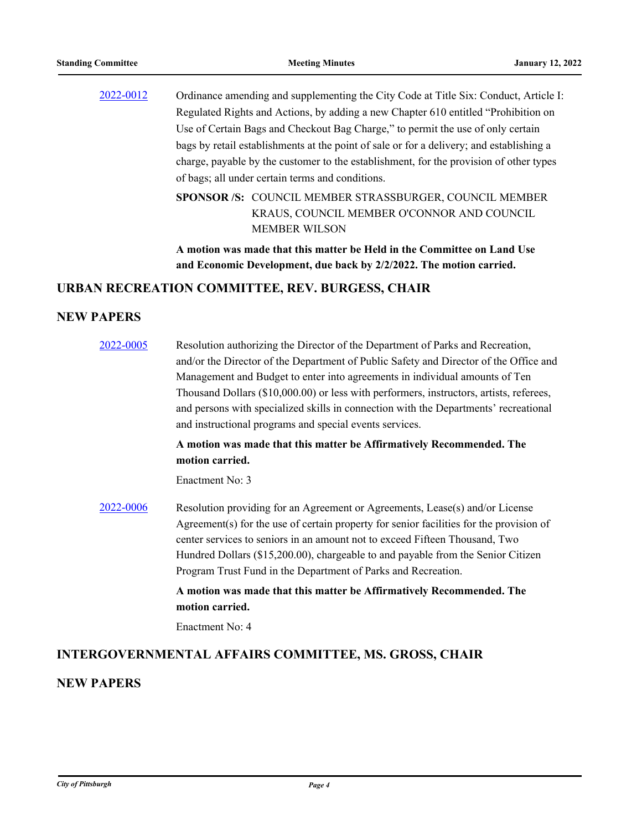[2022-0012](http://pittsburgh.legistar.com/gateway.aspx?m=l&id=/matter.aspx?key=27302) Ordinance amending and supplementing the City Code at Title Six: Conduct, Article I: Regulated Rights and Actions, by adding a new Chapter 610 entitled "Prohibition on Use of Certain Bags and Checkout Bag Charge," to permit the use of only certain bags by retail establishments at the point of sale or for a delivery; and establishing a charge, payable by the customer to the establishment, for the provision of other types of bags; all under certain terms and conditions.

> SPONSOR /S: COUNCIL MEMBER STRASSBURGER, COUNCIL MEMBER KRAUS, COUNCIL MEMBER O'CONNOR AND COUNCIL MEMBER WILSON

**A motion was made that this matter be Held in the Committee on Land Use and Economic Development, due back by 2/2/2022. The motion carried.**

#### **URBAN RECREATION COMMITTEE, REV. BURGESS, CHAIR**

#### **NEW PAPERS**

| 2022-0005 | Resolution authorizing the Director of the Department of Parks and Recreation,<br>and/or the Director of the Department of Public Safety and Director of the Office and<br>Management and Budget to enter into agreements in individual amounts of Ten<br>Thousand Dollars (\$10,000.00) or less with performers, instructors, artists, referees,<br>and persons with specialized skills in connection with the Departments' recreational<br>and instructional programs and special events services. |
|-----------|------------------------------------------------------------------------------------------------------------------------------------------------------------------------------------------------------------------------------------------------------------------------------------------------------------------------------------------------------------------------------------------------------------------------------------------------------------------------------------------------------|
|           | A motion was made that this matter be Affirmatively Recommended. The<br>motion carried.                                                                                                                                                                                                                                                                                                                                                                                                              |
|           | Enactment No: 3                                                                                                                                                                                                                                                                                                                                                                                                                                                                                      |
| 2022-0006 | Resolution providing for an Agreement or Agreements, Lease(s) and/or License<br>Agreement(s) for the use of certain property for senior facilities for the provision of<br>center services to seniors in an amount not to exceed Fifteen Thousand, Two<br>Hundred Dollars (\$15,200.00), chargeable to and payable from the Senior Citizen<br>Program Trust Fund in the Department of Parks and Recreation.                                                                                          |
|           | A motion was made that this matter be Affirmatively Recommended. The<br>motion carried.                                                                                                                                                                                                                                                                                                                                                                                                              |

Enactment No: 4

#### **INTERGOVERNMENTAL AFFAIRS COMMITTEE, MS. GROSS, CHAIR**

#### **NEW PAPERS**